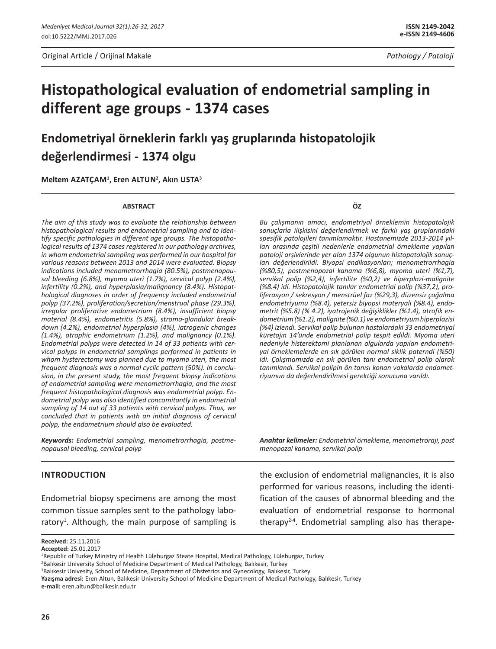Original Article / Orijinal Makale *Pathology / Patoloji*

# **Histopathological evaluation of endometrial sampling in different age groups - 1374 cases**

**Endometriyal örneklerin farklı yaş gruplarında histopatolojik değerlendirmesi - 1374 olgu**

**Meltem Azatçam1 , Eren Altun2 , Akın Usta3**

#### **ABSTRACT**

*The aim of this study was to evaluate the relationship between histopathological results and endometrial sampling and to identify specific pathologies in different age groups. The histopathological results of 1374 cases registered in our pathology archives, in whom endometrial sampling was performed in our hospital for various reasons between 2013 and 2014 were evaluated. Biopsy indications included menometrorrhagia (80.5%), postmenopausal bleeding (6.8%), myoma uteri (1.7%), cervical polyp (2.4%), infertility (0.2%), and hyperplasia/malignancy (8.4%). Histopathological diagnoses in order of frequency included endometrial polyp (37.2%), proliferation/secretion/menstrual phase (29.3%), irregular proliferative endometrium (8.4%), insufficient biopsy material (8.4%), endometritis (5.8%), stroma-glandular breakdown (4.2%), endometrial hyperplasia (4%), iatrogenic changes (1.4%), atrophic endometrium (1.2%), and malignancy (0.1%). Endometrial polyps were detected in 14 of 33 patients with cervical polyps In endometrial samplings performed in patients in whom hysterectomy was planned due to myoma uteri, the most frequent diagnosis was a normal cyclic pattern (50%). In conclusion, in the present study, the most frequent biopsy indications of endometrial sampling were menometrorrhagia, and the most frequent histopathological diagnosis was endometrial polyp. Endometrial polyp was also identified concomitantly in endometrial sampling of 14 out of 33 patients with cervical polyps. Thus, we concluded that in patients with an initial diagnosis of cervical polyp, the endometrium should also be evaluated.* 

*Keywords: Endometrial sampling, menometrorrhagia, postmenopausal bleeding, cervical polyp*

## **IntroductIon**

Endometrial biopsy specimens are among the most common tissue samples sent to the pathology laboratory<sup>1</sup>. Although, the main purpose of sampling is **ÖZ**

*Bu çalışmanın amacı, endometriyal örneklemin histopatolojik sonuçlarla ilişkisini değerlendirmek ve farklı yaş gruplarındaki spesifik patolojileri tanımlamaktır. Hastanemizde 2013-2014 yılları arasında çeşitli nedenlerle endometrial örnekleme yapılan patoloji arşivlerinde yer alan 1374 olgunun histopatolojik sonuçları değerlendirildi. Biyopsi endikasyonları; menometrorrhagia (%80,5), postmenopozal kanama (%6,8), myoma uteri (%1,7), servikal polip (%2,4), infertilite (%0,2) ve hiperplazi-malignite (%8.4) idi. Histopatolojik tanılar endometrial polip (%37,2), proliferasyon / sekresyon / menstrüel faz (%29,3), düzensiz çoğalma endometriyumu (%8.4), yetersiz biyopsi materyali (%8.4), endometrit (%5.8) (% 4.2), iyatrojenik değişiklikler (%1.4), atrofik endometrium (%1.2), malignite (%0.1) ve endometriyum hiperplazisi (%4) izlendi. Servikal polip bulunan hastalardaki 33 endometriyal küretajın 14'ünde endometrial polip tespit edildi. Myoma uteri nedeniyle histerektomi planlanan olgularda yapılan endometriyal örneklemelerde en sık görülen normal siklik paterndi (%50) idi. Çalışmamızda en sık görülen tanı endometrial polip olarak tanımlandı. Servikal polipin ön tanısı konan vakalarda endometriyumun da değerlendirilmesi gerektiği sonucuna varıldı.*

*Anahtar kelimeler: Endometrial örnekleme, menometroraji, post menopozal kanama, servikal polip*

the exclusion of endometrial malignancies, it is also performed for various reasons, including the identification of the causes of abnormal bleeding and the evaluation of endometrial response to hormonal therapy<sup>2-4</sup>. Endometrial sampling also has therape-

**Received:** 25.11.2016

**Accepted:** 25.01.2017

<sup>1</sup> Republic of Turkey Ministry of Health Lüleburgaz Steate Hospital, Medical Pathology, Lüleburgaz, Turkey

<sup>2</sup> Balıkesir University School of Medicine Department of Medical Pathology, Balıkesir, Turkey

<sup>3</sup> Balıkesir Univesity, School of Medicine, Department of Obstetrics and Gynecology, Balıkesir, Turkey

**Yazışma adresi:** Eren Altun, Balıkesir University School of Medicine Department of Medical Pathology, Balıkesir, Turkey **e-mail:** eren.altun@balikesir.edu.tr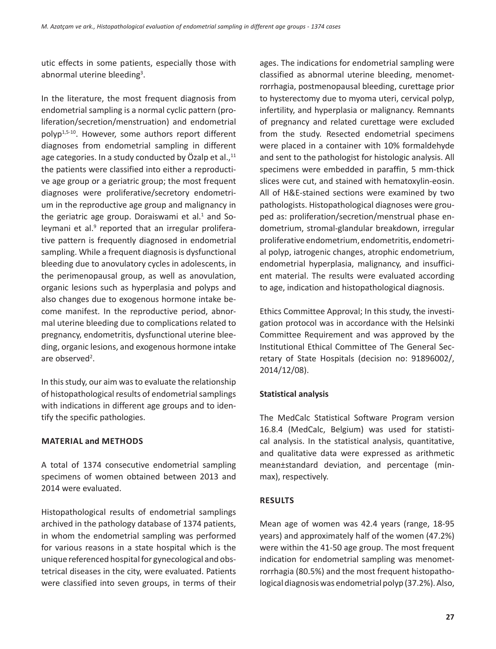utic effects in some patients, especially those with abnormal uterine bleeding<sup>3</sup>.

In the literature, the most frequent diagnosis from endometrial sampling is a normal cyclic pattern (proliferation/secretion/menstruation) and endometrial polyp1,5-10. However, some authors report different diagnoses from endometrial sampling in different age categories. In a study conducted by Özalp et al., $^{11}$ the patients were classified into either a reproductive age group or a geriatric group; the most frequent diagnoses were proliferative/secretory endometrium in the reproductive age group and malignancy in the geriatric age group. Doraiswami et al. $1$  and Soleymani et al.<sup>9</sup> reported that an irregular proliferative pattern is frequently diagnosed in endometrial sampling. While a frequent diagnosis is dysfunctional bleeding due to anovulatory cycles in adolescents, in the perimenopausal group, as well as anovulation, organic lesions such as hyperplasia and polyps and also changes due to exogenous hormone intake become manifest. In the reproductive period, abnormal uterine bleeding due to complications related to pregnancy, endometritis, dysfunctional uterine bleeding, organic lesions, and exogenous hormone intake are observed<sup>2</sup>.

In this study, our aim was to evaluate the relationship of histopathological results of endometrial samplings with indications in different age groups and to identify the specific pathologies.

#### **MaterIal and Methods**

A total of 1374 consecutive endometrial sampling specimens of women obtained between 2013 and 2014 were evaluated.

Histopathological results of endometrial samplings archived in the pathology database of 1374 patients, in whom the endometrial sampling was performed for various reasons in a state hospital which is the unique referenced hospital for gynecological and obstetrical diseases in the city, were evaluated. Patients were classified into seven groups, in terms of their ages. The indications for endometrial sampling were classified as abnormal uterine bleeding, menometrorrhagia, postmenopausal bleeding, curettage prior to hysterectomy due to myoma uteri, cervical polyp, infertility, and hyperplasia or malignancy. Remnants of pregnancy and related curettage were excluded from the study. Resected endometrial specimens were placed in a container with 10% formaldehyde and sent to the pathologist for histologic analysis. All specimens were embedded in paraffin, 5 mm-thick slices were cut, and stained with hematoxylin-eosin. All of H&E-stained sections were examined by two pathologists. Histopathological diagnoses were grouped as: proliferation/secretion/menstrual phase endometrium, stromal-glandular breakdown, irregular proliferative endometrium, endometritis, endometrial polyp, iatrogenic changes, atrophic endometrium, endometrial hyperplasia, malignancy, and insufficient material. The results were evaluated according to age, indication and histopathological diagnosis.

Ethics Committee Approval; In this study, the investigation protocol was in accordance with the Helsinki Committee Requirement and was approved by the Institutional Ethical Committee of The General Secretary of State Hospitals (decision no: 91896002/, 2014/12/08).

## **Statistical analysis**

The MedCalc Statistical Software Program version 16.8.4 (MedCalc, Belgium) was used for statistical analysis. In the statistical analysis, quantitative, and qualitative data were expressed as arithmetic mean±standard deviation, and percentage (minmax), respectively.

## **Results**

Mean age of women was 42.4 years (range, 18-95 years) and approximately half of the women (47.2%) were within the 41-50 age group. The most frequent indication for endometrial sampling was menometrorrhagia (80.5%) and the most frequent histopathological diagnosis was endometrial polyp (37.2%). Also,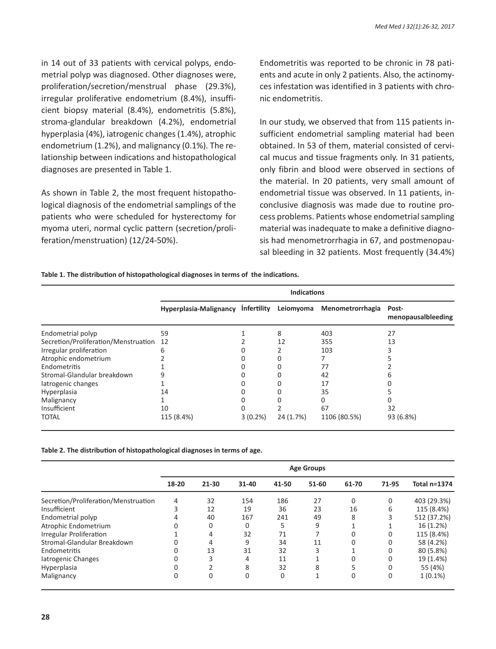in 14 out of 33 patients with cervical polyps, endometrial polyp was diagnosed. Other diagnoses were, proliferation/secretion/menstrual phase (29.3%), irregular proliferative endometrium (8.4%), insufficient biopsy material (8.4%), endometritis (5.8%), stroma-glandular breakdown (4.2%), endometrial hyperplasia (4%), iatrogenic changes (1.4%), atrophic endometrium (1.2%), and malignancy (0.1%). The relationship between indications and histopathological diagnoses are presented in Table 1.

As shown in Table 2, the most frequent histopathological diagnosis of the endometrial samplings of the patients who were scheduled for hysterectomy for myoma uteri, normal cyclic pattern (secretion/proliferation/menstruation) (12/24-50%).

Endometritis was reported to be chronic in 78 patients and acute in only 2 patients. Also, the actinomyces infestation was identified in 3 patients with chronic endometritis.

In our study, we observed that from 115 patients insufficient endometrial sampling material had been obtained. In 53 of them, material consisted of cervical mucus and tissue fragments only. In 31 patients, only fibrin and blood were observed in sections of the material. In 20 patients, very small amount of endometrial tissue was observed. In 11 patients, inconclusive diagnosis was made due to routine process problems. Patients whose endometrial sampling material was inadequate to make a definitive diagnosis had menometrorrhagia in 67, and postmenopausal bleeding in 32 patients. Most frequently (34.4%)

#### **Table 1. The distribution of histopathological diagnoses in terms of the indications.**

|                                      | <b>Indications</b>                 |            |           |                  |                             |  |  |  |
|--------------------------------------|------------------------------------|------------|-----------|------------------|-----------------------------|--|--|--|
|                                      | Hyperplasia-Malignancy Infertility |            | Leiomyoma | Menometrorrhagia | Post-<br>menopausalbleeding |  |  |  |
| Endometrial polyp                    | 59                                 |            | 8         | 403              | 27                          |  |  |  |
| Secretion/Proliferation/Menstruation | 12                                 |            | 12        | 355              | 13                          |  |  |  |
| Irregular proliferation              | 6                                  |            |           | 103              |                             |  |  |  |
| Atrophic endometrium                 |                                    |            |           |                  |                             |  |  |  |
| Endometritis                         |                                    |            |           | 77               |                             |  |  |  |
| Stromal-Glandular breakdown          |                                    |            |           | 42               |                             |  |  |  |
| latrogenic changes                   |                                    |            |           | 17               |                             |  |  |  |
| Hyperplasia                          | 14                                 |            |           | 35               |                             |  |  |  |
| Malignancy                           |                                    |            |           |                  |                             |  |  |  |
| Insufficient                         | 10                                 | 0          |           | 67               | 32                          |  |  |  |
| <b>TOTAL</b>                         | 115 (8.4%)                         | $3(0.2\%)$ | 24 (1.7%) | 1106 (80.5%)     | 93 (6.8%)                   |  |  |  |

**Table 2. The distribution of histopathological diagnoses in terms of age.**

|                                      | <b>Age Groups</b> |             |           |       |       |          |             |                     |  |  |
|--------------------------------------|-------------------|-------------|-----------|-------|-------|----------|-------------|---------------------|--|--|
|                                      | 18-20             | $21 - 30$   | $31 - 40$ | 41-50 | 51-60 | 61-70    | 71-95       | <b>Total n=1374</b> |  |  |
| Secretion/Proliferation/Menstruation | 4                 | 32          | 154       | 186   | 27    | 0        | $\Omega$    | 403 (29.3%)         |  |  |
| Insufficient                         | 3                 | 12          | 19        | 36    | 23    | 16       | 6           | 115 (8.4%)          |  |  |
| Endometrial polyp                    | 4                 | 40          | 167       | 241   | 49    | 8        |             | 512 (37.2%)         |  |  |
| Atrophic Endometrium                 | 0                 | $\mathbf 0$ | 0         | 5     | 9     |          |             | 16 (1.2%)           |  |  |
| <b>Irregular Proliferation</b>       |                   | 4           | 32        | 71    |       | $\Omega$ | 0           | 115 (8.4%)          |  |  |
| Stromal-Glandular Breakdown          | 0                 | 4           | 9         | 34    | 11    | 0        | 0           | 58 (4.2%)           |  |  |
| Endometritis                         | 0                 | 13          | 31        | 32    | 3     |          | 0           | 80 (5.8%)           |  |  |
| latrogenic Changes                   | 0                 | 3           | 4         | 11    |       | 0        | 0           | 19 (1.4%)           |  |  |
| Hyperplasia                          | 0                 |             | 8         | 32    | 8     | 5        | 0           | 55 (4%)             |  |  |
| Malignancy                           | 0                 | $\mathbf 0$ | 0         | 0     |       | 0        | $\mathbf 0$ | $1(0.1\%)$          |  |  |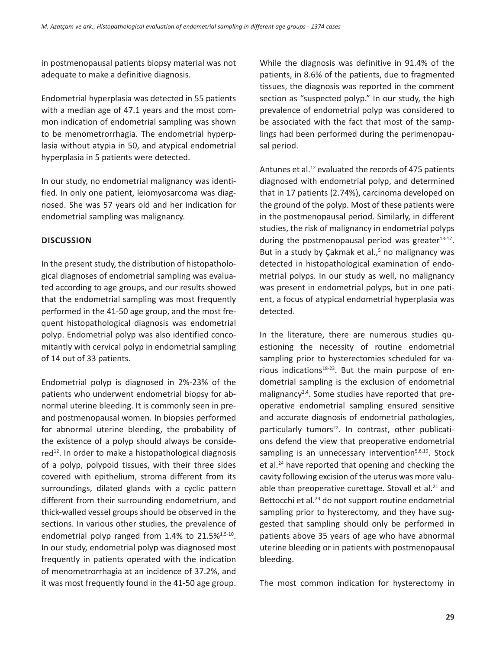in postmenopausal patients biopsy material was not adequate to make a definitive diagnosis.

Endometrial hyperplasia was detected in 55 patients with a median age of 47.1 years and the most common indication of endometrial sampling was shown to be menometrorrhagia. The endometrial hyperplasia without atypia in 50, and atypical endometrial hyperplasia in 5 patients were detected.

In our study, no endometrial malignancy was identified. In only one patient, leiomyosarcoma was diagnosed. She was 57 years old and her indication for endometrial sampling was malignancy.

#### **DIscussIon**

In the present study, the distribution of histopathological diagnoses of endometrial sampling was evaluated according to age groups, and our results showed that the endometrial sampling was most frequently performed in the 41-50 age group, and the most frequent histopathological diagnosis was endometrial polyp. Endometrial polyp was also identified concomitantly with cervical polyp in endometrial sampling of 14 out of 33 patients.

Endometrial polyp is diagnosed in 2%-23% of the patients who underwent endometrial biopsy for abnormal uterine bleeding. It is commonly seen in preand postmenopausal women. In biopsies performed for abnormal uterine bleeding, the probability of the existence of a polyp should always be considered<sup>12</sup>. In order to make a histopathological diagnosis of a polyp, polypoid tissues, with their three sides covered with epithelium, stroma different from its surroundings, dilated glands with a cyclic pattern different from their surrounding endometrium, and thick-walled vessel groups should be observed in the sections. In various other studies, the prevalence of endometrial polyp ranged from  $1.4\%$  to  $21.5\%$ <sup>1,5-10</sup>. In our study, endometrial polyp was diagnosed most frequently in patients operated with the indication of menometrorrhagia at an incidence of 37.2%, and it was most frequently found in the 41-50 age group. While the diagnosis was definitive in 91.4% of the patients, in 8.6% of the patients, due to fragmented tissues, the diagnosis was reported in the comment section as "suspected polyp." In our study, the high prevalence of endometrial polyp was considered to be associated with the fact that most of the samplings had been performed during the perimenopausal period.

Antunes et al.<sup>12</sup> evaluated the records of 475 patients diagnosed with endometrial polyp, and determined that in 17 patients (2.74%), carcinoma developed on the ground of the polyp. Most of these patients were in the postmenopausal period. Similarly, in different studies, the risk of malignancy in endometrial polyps during the postmenopausal period was greater $13-17$ . But in a study by Çakmak et al.,<sup>5</sup> no malignancy was detected in histopathological examination of endometrial polyps. In our study as well, no malignancy was present in endometrial polyps, but in one patient, a focus of atypical endometrial hyperplasia was detected.

In the literature, there are numerous studies questioning the necessity of routine endometrial sampling prior to hysterectomies scheduled for various indications $18-23$ . But the main purpose of endometrial sampling is the exclusion of endometrial malignancy<sup>2,4</sup>. Some studies have reported that preoperative endometrial sampling ensured sensitive and accurate diagnosis of endometrial pathologies, particularly tumors<sup>22</sup>. In contrast, other publications defend the view that preoperative endometrial sampling is an unnecessary intervention $5,6,19$ . Stock et al.24 have reported that opening and checking the cavity following excision of the uterus was more valuable than preoperative curettage. Stovall et al.<sup>21</sup> and Bettocchi et al.<sup>23</sup> do not support routine endometrial sampling prior to hysterectomy, and they have suggested that sampling should only be performed in patients above 35 years of age who have abnormal uterine bleeding or in patients with postmenopausal bleeding.

The most common indication for hysterectomy in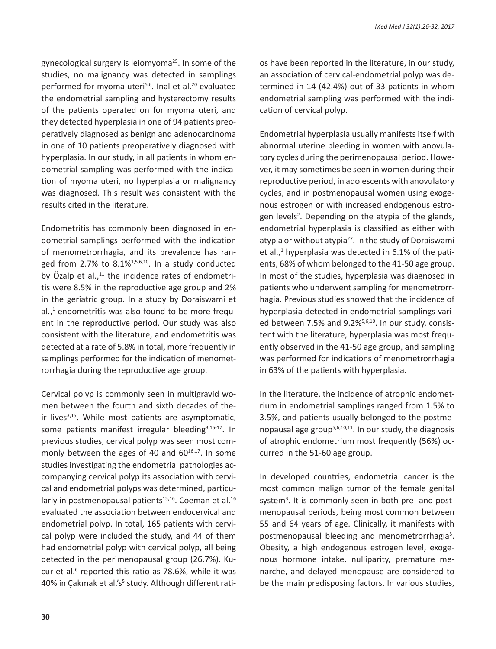gynecological surgery is leiomyoma $25$ . In some of the studies, no malignancy was detected in samplings performed for myoma uteri<sup>5,6</sup>. Inal et al.<sup>20</sup> evaluated the endometrial sampling and hysterectomy results of the patients operated on for myoma uteri, and they detected hyperplasia in one of 94 patients preoperatively diagnosed as benign and adenocarcinoma in one of 10 patients preoperatively diagnosed with hyperplasia. In our study, in all patients in whom endometrial sampling was performed with the indication of myoma uteri, no hyperplasia or malignancy was diagnosed. This result was consistent with the results cited in the literature.

Endometritis has commonly been diagnosed in endometrial samplings performed with the indication of menometrorrhagia, and its prevalence has ranged from 2.7% to  $8.1\frac{1}{5,6,10}$ . In a study conducted by Özalp et al., $11$  the incidence rates of endometritis were 8.5% in the reproductive age group and 2% in the geriatric group. In a study by Doraiswami et al.,<sup>1</sup> endometritis was also found to be more frequent in the reproductive period. Our study was also consistent with the literature, and endometritis was detected at a rate of 5.8% in total, more frequently in samplings performed for the indication of menometrorrhagia during the reproductive age group.

Cervical polyp is commonly seen in multigravid women between the fourth and sixth decades of their lives $3,15$ . While most patients are asymptomatic, some patients manifest irregular bleeding<sup>3,15-17</sup>. In previous studies, cervical polyp was seen most commonly between the ages of 40 and  $60^{16,17}$ . In some studies investigating the endometrial pathologies accompanying cervical polyp its association with cervical and endometrial polyps was determined, particularly in postmenopausal patients<sup>15,16</sup>. Coeman et al.<sup>16</sup> evaluated the association between endocervical and endometrial polyp. In total, 165 patients with cervical polyp were included the study, and 44 of them had endometrial polyp with cervical polyp, all being detected in the perimenopausal group (26.7%). Kucur et al.<sup>6</sup> reported this ratio as 78.6%, while it was 40% in Çakmak et al.'s<sup>5</sup> study. Although different ratios have been reported in the literature, in our study, an association of cervical-endometrial polyp was determined in 14 (42.4%) out of 33 patients in whom endometrial sampling was performed with the indication of cervical polyp.

Endometrial hyperplasia usually manifests itself with abnormal uterine bleeding in women with anovulatory cycles during the perimenopausal period. However, it may sometimes be seen in women during their reproductive period, in adolescents with anovulatory cycles, and in postmenopausal women using exogenous estrogen or with increased endogenous estrogen levels<sup>2</sup>. Depending on the atypia of the glands, endometrial hyperplasia is classified as either with atypia or without atypia<sup>27</sup>. In the study of Doraiswami et al., $<sup>1</sup>$  hyperplasia was detected in 6.1% of the pati-</sup> ents, 68% of whom belonged to the 41-50 age group. In most of the studies, hyperplasia was diagnosed in patients who underwent sampling for menometrorrhagia. Previous studies showed that the incidence of hyperplasia detected in endometrial samplings varied between 7.5% and 9.2%<sup>5,6,10</sup>. In our study, consistent with the literature, hyperplasia was most frequently observed in the 41-50 age group, and sampling was performed for indications of menometrorrhagia in 63% of the patients with hyperplasia.

In the literature, the incidence of atrophic endometrium in endometrial samplings ranged from 1.5% to 3.5%, and patients usually belonged to the postmenopausal age group5,6,10,11. In our study, the diagnosis of atrophic endometrium most frequently (56%) occurred in the 51-60 age group.

In developed countries, endometrial cancer is the most common malign tumor of the female genital system<sup>3</sup>. It is commonly seen in both pre- and postmenopausal periods, being most common between 55 and 64 years of age. Clinically, it manifests with postmenopausal bleeding and menometrorrhagia<sup>3</sup>. Obesity, a high endogenous estrogen level, exogenous hormone intake, nulliparity, premature menarche, and delayed menopause are considered to be the main predisposing factors. In various studies,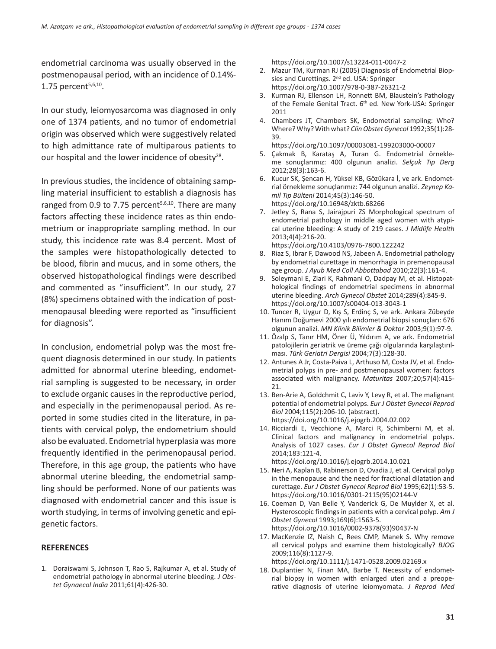endometrial carcinoma was usually observed in the postmenopausal period, with an incidence of 0.14%- 1.75 percent $5,6,10$ .

In our study, leiomyosarcoma was diagnosed in only one of 1374 patients, and no tumor of endometrial origin was observed which were suggestively related to high admittance rate of multiparous patients to our hospital and the lower incidence of obesity<sup>28</sup>.

In previous studies, the incidence of obtaining sampling material insufficient to establish a diagnosis has ranged from 0.9 to 7.75 percent $5,6,10$ . There are many factors affecting these incidence rates as thin endometrium or inappropriate sampling method. In our study, this incidence rate was 8.4 percent. Most of the samples were histopathologically detected to be blood, fibrin and mucus, and in some others, the observed histopathological findings were described and commented as "insufficient". In our study, 27 (8%) specimens obtained with the indication of postmenopausal bleeding were reported as "insufficient for diagnosis".

In conclusion, endometrial polyp was the most frequent diagnosis determined in our study. In patients admitted for abnormal uterine bleeding, endometrial sampling is suggested to be necessary, in order to exclude organic causes in the reproductive period, and especially in the perimenopausal period. As reported in some studies cited in the literature, in patients with cervical polyp, the endometrium should also be evaluated. Endometrial hyperplasia was more frequently identified in the perimenopausal period. Therefore, in this age group, the patients who have abnormal uterine bleeding, the endometrial sampling should be performed. None of our patients was diagnosed with endometrial cancer and this issue is worth studying, in terms of involving genetic and epigenetic factors.

#### **REFERENCES**

1. Doraiswami S, Johnson T, Rao S, Rajkumar A, et al. Study of endometrial pathology in abnormal uterine bleeding. *J Obstet Gynaecol India* 2011;61(4):426-30.

https://doi.org/10.1007/s13224-011-0047-2

- 2. Mazur TM, Kurman RJ (2005) Diagnosis of Endometrial Biopsies and Curettings. 2<sup>nd</sup> ed. USA: Springer https://doi.org/10.1007/978-0-387-26321-2
- 3. Kurman RJ, Ellenson LH, Ronnett BM, Blaustein's Pathology of the Female Genital Tract. 6<sup>th</sup> ed. New York-USA: Springer 2011
- 4. Chambers JT, Chambers SK, Endometrial sampling: Who? Where? Why? With what? *Clin Obstet Gynecol* 1992;35(1):28- 39.

https://doi.org/10.1097/00003081-199203000-00007

- 5. Çakmak B, Karataş A, Turan G. Endometrial örnekleme sonuçlarımız: 400 olgunun analizi. *Selçuk Tıp Derg*  2012;28(3):163-6.
- 6. Kucur SK, Şencan H, Yüksel KB, Gözükara İ, ve ark. Endometrial örnekleme sonuçlarımız: 744 olgunun analizi. *Zeynep Kamil Tıp Bülteni* 2014;45(3):146-50. https://doi.org/10.16948/zktb.68266
- 7. Jetley S, Rana S, Jairajpuri ZS Morphological spectrum of endometrial pathology in middle aged women with atypical uterine bleeding: A study of 219 cases. *J Midlife Health*  2013;4(4):216-20.
- https://doi.org/10.4103/0976-7800.122242 8. Riaz S, Ibrar F, Dawood NS, Jabeen A. Endometrial pathology by endometrial curettage in menorrhagia in premenopausal age group. *J Ayub Med Coll Abbottabad* 2010;22(3):161-4.
- 9. Soleymani E, Ziari K, Rahmani O, Dadpay M, et al. Histopathological findings of endometrial specimens in abnormal uterine bleeding. *Arch Gynecol Obstet* 2014;289(4):845-9. https://doi.org/10.1007/s00404-013-3043-1
- 10. Tuncer R, Uygur D, Kış S, Erdinç S, ve ark. Ankara Zübeyde Hanım Doğumevi 2000 yılı endometrial biopsi sonuçları: 676 olgunun analizi. *MN Klinik Bilimler & Doktor* 2003;9(1):97-9.
- 11. Özalp S, Tanır HM, Öner Ü, Yıldırım A, ve ark. Endometrial patolojilerin geriatrik ve üreme çağı olgularında karşılaştırılması. *Türk Geriatri Dergisi* 2004;7(3):128-30.
- 12. Antunes A Jr, Costa-Paiva L, Arthuso M, Costa JV, et al. Endometrial polyps in pre- and postmenopausal women: factors associated with malignancy. *Maturitas* 2007;20;57(4):415- 21.
- 13. Ben-Arie A, Goldchmit C, Laviv Y, Levy R, et al. The malignant potential of endometrial polyps. *Eur J Obstet Gynecol Reprod Biol* 2004;115(2):206-10. (abstract). https://doi.org/10.1016/j.ejogrb.2004.02.002
- 14. Ricciardi E, Vecchione A, Marci R, Schimberni M, et al. Clinical factors and malignancy in endometrial polyps. Analysis of 1027 cases. *Eur J Obstet Gynecol Reprod Biol*  2014;183:121-4.

https://doi.org/10.1016/j.ejogrb.2014.10.021 15. Neri A, Kaplan B, Rabinerson D, Ovadia J, et al. Cervical polyp

- in the menopause and the need for fractional dilatation and curettage. *Eur J Obstet Gynecol Reprod Biol* 1995;62(1):53-5. https://doi.org/10.1016/0301-2115(95)02144-V
- 16. Coeman D, Van Belle Y, Vanderick G, De Muylder X, et al. Hysteroscopic findings in patients with a cervical polyp. *Am J Obstet Gynecol* 1993;169(6):1563-5. https://doi.org/10.1016/0002-9378(93)90437-N
- 17. MacKenzie IZ, Naish C, Rees CMP, Manek S. Why remove all cervical polyps and examine them histologically? *BJOG* 2009;116(8):1127-9.

https://doi.org/10.1111/j.1471-0528.2009.02169.x

18. Duplantier N, Finan MA, Barbe T. Necessity of endometrial biopsy in women with enlarged uteri and a preoperative diagnosis of uterine leiomyomata. *J Reprod Med*